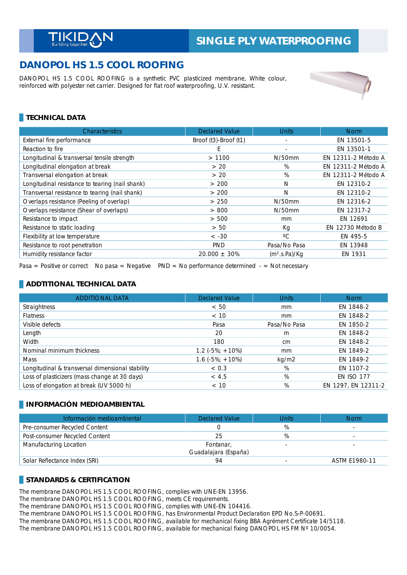# **DANOPOL HS 1.5 COOL ROOFING**

DANOPOL HS 1.5 COOL ROOFING is a synthetic PVC plasticized membrane, White colour, reinforced with polyester net carrier. Designed for flat roof waterproofing, U.V. resistant.



## **TECHNICAL DATA**

| Characteristics                                 | <b>Declared Value</b> | <b>Units</b>              | <b>Norm</b>         |
|-------------------------------------------------|-----------------------|---------------------------|---------------------|
| External fire performance                       | Broof (t3)-Broof (t1) |                           | EN 13501-5          |
| Reaction to fire                                | E                     | ٠                         | EN 13501-1          |
| Longitudinal & transversal tensile strength     | >1100                 | $N/50$ mm                 | EN 12311-2 Método A |
| Longitudinal elongation at break                | > 20                  | %                         | EN 12311-2 Método A |
| Transversal elongation at break                 | > 20                  | %                         | EN 12311-2 Método A |
| Longitudinal resistance to tearing (nail shank) | > 200                 | N                         | EN 12310-2          |
| Transversal resistance to tearing (nail shank)  | > 200                 | N                         | EN 12310-2          |
| Overlaps resistance (Peeling of overlap)        | > 250                 | $N/50$ mm                 | EN 12316-2          |
| Overlaps resistance (Shear of overlaps)         | > 800                 | $N/50$ mm                 | EN 12317-2          |
| Resistance to impact                            | > 500                 | mm                        | EN 12691            |
| Resistance to static loading                    | > 50                  | Кg                        | EN 12730 Método B   |
| Flexibility at low temperature                  | $< -30$               | $^{\circ}C$               | EN 495-5            |
| Resistance to root penetration                  | <b>PND</b>            | Pasa/No Pasa              | EN 13948            |
| Humidity resistance factor                      | $20.000 + 30%$        | (m <sup>2</sup> .s.Pa)/Kq | EN 1931             |

Pasa = Positive or correct No pasa = Negative  $PND = No$  performance determined  $-$  = Not necessary

### **ADDTITIONAL TECHNICAL DATA**

| <b>ADDITIONAL DATA</b>                           | <b>Declared Value</b>      | <b>Units</b>  | <b>Norm</b>         |
|--------------------------------------------------|----------------------------|---------------|---------------------|
| Straightness                                     | < 50                       | <sub>mm</sub> | EN 1848-2           |
| <b>Flatness</b>                                  | < 10                       | mm            | EN 1848-2           |
| Visible defects                                  | Pasa                       | Pasa/No Pasa  | EN 1850-2           |
| Length                                           | 20                         | m             | EN 1848-2           |
| Width                                            | 180                        | cm            | EN 1848-2           |
| Nominal minimum thickness                        | $1.2$ ( $-5\%$ ; $+10\%$ ) | <sub>mm</sub> | EN 1849-2           |
| Mass                                             | $1.6(-5\%; +10\%)$         | kg/m2         | EN 1849-2           |
| Longitudinal & transversal dimensional stability | < 0.3                      | %             | EN 1107-2           |
| Loss of plasticizers (mass change at 30 days)    | < 4.5                      | %             | <b>EN ISO 177</b>   |
| Loss of elongation at break (UV 5000 h)          | < 10                       | %             | EN 1297, EN 12311-2 |

### **INFORMACIÓN MEDIOAMBIENTAL**

| Información medioambiental     | <b>Declared Value</b>             | Units | <b>Norm</b>   |
|--------------------------------|-----------------------------------|-------|---------------|
| Pre-consumer Recycled Content  |                                   | %     |               |
| Post-consumer Recycled Content | 25                                | %     |               |
| Manufacturing Location         | Fontanar,<br>Guadalajara (España) |       |               |
| Solar Reflectance Index (SRI)  | 94                                |       | ASTM E1980-11 |

### **STANDARDS & CERTIFICATION**

The membrane DANOPOL HS 1.5 COOL ROOFING, complies with UNE-EN 13956.

The membrane DANOPOL HS 1.5 COOL ROOFING, meets CE requirements.

The membrane DANOPOL HS 1.5 COOL ROOFING, complies with UNE-EN 104416.

The membrane DANOPOL HS 1.5 COOL ROOFING, has Environmental Product Declaration EPD No.S-P-00691.

The membrane DANOPOL HS 1.5 COOL ROOFING, available for mechanical fixing BBA Agrément Certificate 14/5118.

The membrane DANOPOL HS 1.5 COOL ROOFING, available for mechanical fixing DANOPOL HS FM Nº 10/0054.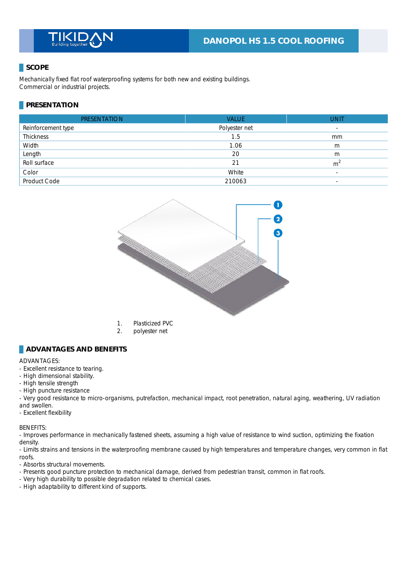## **SCOPE**

Mechanically fixed flat roof waterproofing systems for both new and existing buildings. Commercial or industrial projects.

## **PRESENTATION**

| <b>PRESENTATION</b> | <b>VALUE</b>  | <b>UNIT</b>              |
|---------------------|---------------|--------------------------|
| Reinforcement type  | Polyester net | $\overline{\phantom{a}}$ |
| Thickness           | 1.5           | mm                       |
| Width               | 1.06          | m                        |
| Length              | 20            | m                        |
| Roll surface        | 21            | m <sup>2</sup>           |
| Color               | White         | $\overline{\phantom{a}}$ |
| <b>Product Code</b> | 210063        | $\overline{\phantom{a}}$ |



- 1. Plasticized PVC
- 2. polyester net

#### **ADVANTAGES AND BENEFITS**

#### ADVANTAGES: \_

- Excellent resistance to tearing.
- High dimensional stability.
- High tensile strength
- High puncture resistance
- Very good resistance to micro-organisms, putrefaction, mechanical impact, root penetration, natural aging, weathering, UV radiation and swollen.
- Excellent flexibility

BENEFITS: \_

- Improves performance in mechanically fastened sheets, assuming a high value of resistance to wind suction, optimizing the fixation density.

- Limits strains and tensions in the waterproofing membrane caused by high temperatures and temperature changes, very common in flat roofs. \_

- Absorbs structural movements.
- Presents good puncture protection to mechanical damage, derived from pedestrian transit, common in flat roofs.
- Very high durability to possible degradation related to chemical cases.
- High adaptability to different kind of supports.